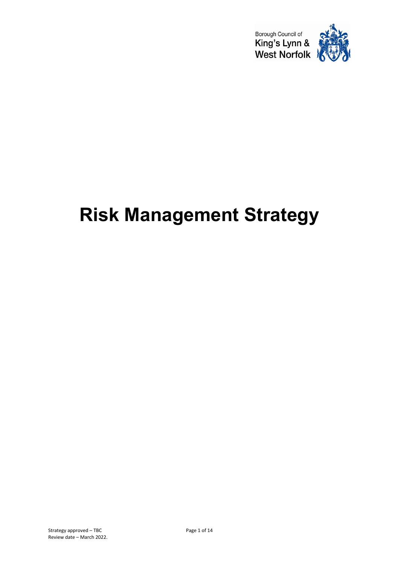

# **Risk Management Strategy**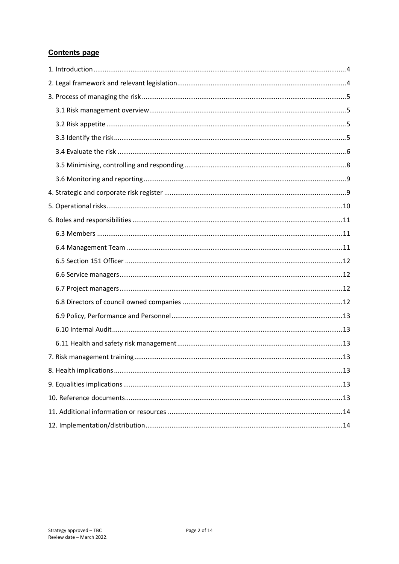## **Contents page**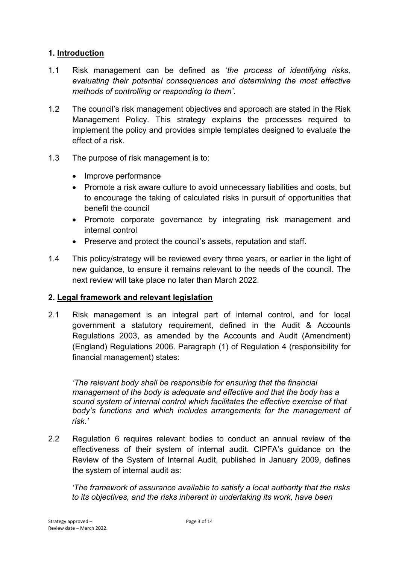## <span id="page-2-0"></span>**1. Introduction**

- 1.1 Risk management can be defined as '*the process of identifying risks, evaluating their potential consequences and determining the most effective methods of controlling or responding to them'*.
- 1.2 The council's risk management objectives and approach are stated in the Risk Management Policy. This strategy explains the processes required to implement the policy and provides simple templates designed to evaluate the effect of a risk.
- 1.3 The purpose of risk management is to:
	- Improve performance
	- Promote a risk aware culture to avoid unnecessary liabilities and costs, but to encourage the taking of calculated risks in pursuit of opportunities that benefit the council
	- Promote corporate governance by integrating risk management and internal control
	- Preserve and protect the council's assets, reputation and staff.
- 1.4 This policy/strategy will be reviewed every three years, or earlier in the light of new guidance, to ensure it remains relevant to the needs of the council. The next review will take place no later than March 2022.

## <span id="page-2-1"></span>**2. Legal framework and relevant legislation**

2.1 Risk management is an integral part of internal control, and for local government a statutory requirement, defined in the Audit & Accounts Regulations 2003, as amended by the Accounts and Audit (Amendment) (England) Regulations 2006. Paragraph (1) of Regulation 4 (responsibility for financial management) states:

*'The relevant body shall be responsible for ensuring that the financial management of the body is adequate and effective and that the body has a sound system of internal control which facilitates the effective exercise of that body's functions and which includes arrangements for the management of risk.'*

2.2 Regulation 6 requires relevant bodies to conduct an annual review of the effectiveness of their system of internal audit. CIPFA's guidance on the Review of the System of Internal Audit, published in January 2009, defines the system of internal audit as:

*'The framework of assurance available to satisfy a local authority that the risks to its objectives, and the risks inherent in undertaking its work, have been*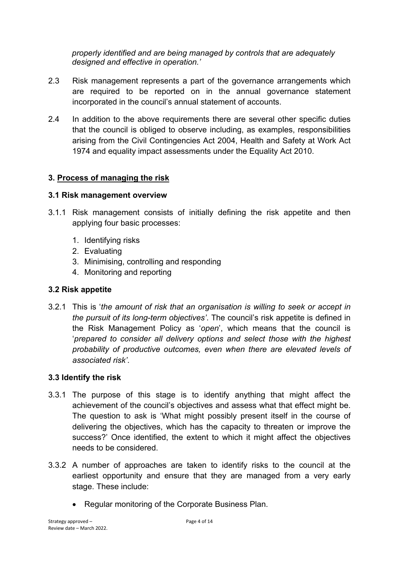*properly identified and are being managed by controls that are adequately designed and effective in operation.'*

- 2.3 Risk management represents a part of the governance arrangements which are required to be reported on in the annual governance statement incorporated in the council's annual statement of accounts.
- 2.4 In addition to the above requirements there are several other specific duties that the council is obliged to observe including, as examples, responsibilities arising from the Civil Contingencies Act 2004, Health and Safety at Work Act 1974 and equality impact assessments under the Equality Act 2010.

# <span id="page-3-0"></span>**3. Process of managing the risk**

## <span id="page-3-1"></span>**3.1 Risk management overview**

- 3.1.1 Risk management consists of initially defining the risk appetite and then applying four basic processes:
	- 1. Identifying risks
	- 2. Evaluating
	- 3. Minimising, controlling and responding
	- 4. Monitoring and reporting

# <span id="page-3-2"></span>**3.2 Risk appetite**

3.2.1 This is '*the amount of risk that an organisation is willing to seek or accept in the pursuit of its long-term objectives'*. The council's risk appetite is defined in the Risk Management Policy as '*open*', which means that the council is '*prepared to consider all delivery options and select those with the highest probability of productive outcomes, even when there are elevated levels of associated risk'*.

## <span id="page-3-3"></span>**3.3 Identify the risk**

- 3.3.1 The purpose of this stage is to identify anything that might affect the achievement of the council's objectives and assess what that effect might be. The question to ask is 'What might possibly present itself in the course of delivering the objectives, which has the capacity to threaten or improve the success?' Once identified, the extent to which it might affect the objectives needs to be considered.
- 3.3.2 A number of approaches are taken to identify risks to the council at the earliest opportunity and ensure that they are managed from a very early stage. These include:
	- Regular monitoring of the Corporate Business Plan.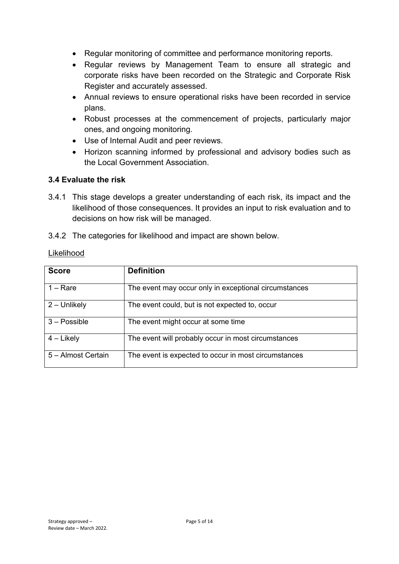- Regular monitoring of committee and performance monitoring reports.
- Regular reviews by Management Team to ensure all strategic and corporate risks have been recorded on the Strategic and Corporate Risk Register and accurately assessed.
- Annual reviews to ensure operational risks have been recorded in service plans.
- Robust processes at the commencement of projects, particularly major ones, and ongoing monitoring.
- Use of Internal Audit and peer reviews.
- Horizon scanning informed by professional and advisory bodies such as the Local Government Association.

## <span id="page-4-0"></span>**3.4 Evaluate the risk**

- 3.4.1 This stage develops a greater understanding of each risk, its impact and the likelihood of those consequences. It provides an input to risk evaluation and to decisions on how risk will be managed.
- 3.4.2 The categories for likelihood and impact are shown below.

| <b>Score</b>       | <b>Definition</b>                                     |
|--------------------|-------------------------------------------------------|
| $1 - \text{Rare}$  | The event may occur only in exceptional circumstances |
| $2 -$ Unlikely     | The event could, but is not expected to, occur        |
| $3 - Possible$     | The event might occur at some time                    |
| $4$ – Likely       | The event will probably occur in most circumstances   |
| 5 – Almost Certain | The event is expected to occur in most circumstances  |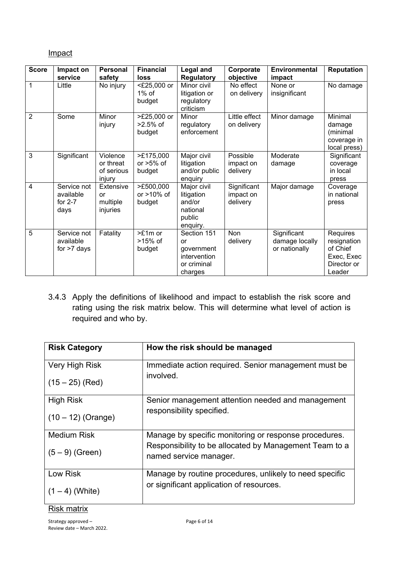## Impact

| <b>Score</b>   | Impact on<br>service                          | <b>Personal</b><br>safety                     | <b>Financial</b><br>loss             | <b>Legal and</b><br><b>Regulatory</b>                                     | Corporate<br>objective               | Environmental<br>impact                        | <b>Reputation</b>                                                          |
|----------------|-----------------------------------------------|-----------------------------------------------|--------------------------------------|---------------------------------------------------------------------------|--------------------------------------|------------------------------------------------|----------------------------------------------------------------------------|
| 1              | Little                                        | No injury                                     | <£25,000 or<br>$1\%$ of<br>budget    | Minor civil<br>litigation or<br>regulatory<br>criticism                   | No effect<br>on delivery             | None or<br>insignificant                       | No damage                                                                  |
| $\overline{2}$ | Some                                          | Minor<br>injury                               | >£25,000 or<br>$>2.5\%$ of<br>budget | Minor<br>regulatory<br>enforcement                                        | Little effect<br>on delivery         | Minor damage                                   | Minimal<br>damage<br>(minimal<br>coverage in<br>local press)               |
| 3              | Significant                                   | Violence<br>or threat<br>of serious<br>injury | >£175,000<br>or $>5\%$ of<br>budget  | Major civil<br>litigation<br>and/or public<br>enquiry                     | Possible<br>impact on<br>delivery    | Moderate<br>damage                             | Significant<br>coverage<br>in local<br>press                               |
| 4              | Service not<br>available<br>for $2-7$<br>days | Extensive<br>or<br>multiple<br>injuries       | >£500,000<br>or $>10\%$ of<br>budget | Major civil<br>litigation<br>and/or<br>national<br>public<br>enquiry.     | Significant<br>impact on<br>delivery | Major damage                                   | Coverage<br>in national<br>press                                           |
| 5              | Service not<br>available<br>for $>7$ days     | Fatality                                      | >£1m or<br>$>15\%$ of<br>budget      | Section 151<br>or<br>government<br>intervention<br>or criminal<br>charges | Non<br>delivery                      | Significant<br>damage locally<br>or nationally | Requires<br>resignation<br>of Chief<br>Exec, Exec<br>Director or<br>Leader |

3.4.3 Apply the definitions of likelihood and impact to establish the risk score and rating using the risk matrix below. This will determine what level of action is required and who by.

| <b>Risk Category</b> | How the risk should be managed                                                   |
|----------------------|----------------------------------------------------------------------------------|
| Very High Risk       | Immediate action required. Senior management must be<br>involved.                |
| $(15 – 25)$ (Red)    |                                                                                  |
| <b>High Risk</b>     | Senior management attention needed and management<br>responsibility specified.   |
| $(10 - 12)$ (Orange) |                                                                                  |
| <b>Medium Risk</b>   | Manage by specific monitoring or response procedures.                            |
| $(5 - 9)$ (Green)    | Responsibility to be allocated by Management Team to a<br>named service manager. |
| Low Risk             | Manage by routine procedures, unlikely to need specific                          |
| $(1 – 4)$ (White)    | or significant application of resources.                                         |

#### Risk matrix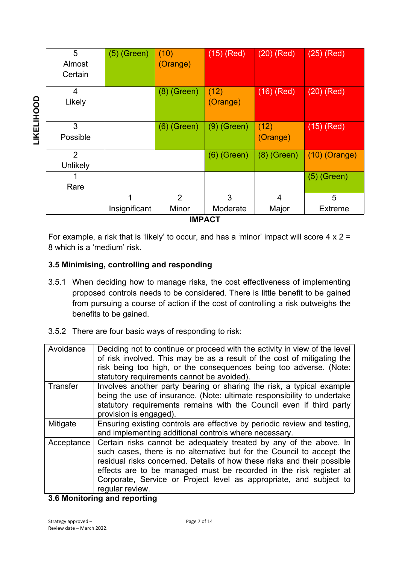|                   | 5              | $(5)$ (Green) | (10)           | $(15)$ (Red)  | $(20)$ (Red)  | $(25)$ (Red)    |
|-------------------|----------------|---------------|----------------|---------------|---------------|-----------------|
|                   | Almost         |               | (Orange)       |               |               |                 |
|                   | Certain        |               |                |               |               |                 |
|                   | 4              |               | $(8)$ (Green)  | (12)          | $(16)$ (Red)  | $(20)$ (Red)    |
| <b>LIKELIHOOD</b> | Likely         |               |                | (Orange)      |               |                 |
|                   | 3              |               | $(6)$ (Green)  | $(9)$ (Green) | (12)          | $(15)$ (Red)    |
|                   | Possible       |               |                |               | (Orange)      |                 |
|                   | $\overline{2}$ |               |                | $(6)$ (Green) | $(8)$ (Green) | $(10)$ (Orange) |
|                   | Unlikely       |               |                |               |               |                 |
|                   |                |               |                |               |               | $(5)$ (Green)   |
|                   | Rare           |               |                |               |               |                 |
|                   |                | 1             | $\overline{2}$ | 3             | 4             | 5               |
|                   |                | Insignificant | Minor          | Moderate      | Major         | Extreme         |
| <b>IMPACT</b>     |                |               |                |               |               |                 |

For example, a risk that is 'likely' to occur, and has a 'minor' impact will score  $4 \times 2 =$ 8 which is a 'medium' risk.

## <span id="page-6-0"></span>**3.5 Minimising, controlling and responding**

- 3.5.1 When deciding how to manage risks, the cost effectiveness of implementing proposed controls needs to be considered. There is little benefit to be gained from pursuing a course of action if the cost of controlling a risk outweighs the benefits to be gained.
- 3.5.2 There are four basic ways of responding to risk:

| Avoidance  | Deciding not to continue or proceed with the activity in view of the level<br>of risk involved. This may be as a result of the cost of mitigating the<br>risk being too high, or the consequences being too adverse. (Note:<br>statutory requirements cannot be avoided).                                                                                                             |  |  |  |  |
|------------|---------------------------------------------------------------------------------------------------------------------------------------------------------------------------------------------------------------------------------------------------------------------------------------------------------------------------------------------------------------------------------------|--|--|--|--|
| Transfer   | Involves another party bearing or sharing the risk, a typical example<br>being the use of insurance. (Note: ultimate responsibility to undertake<br>statutory requirements remains with the Council even if third party<br>provision is engaged).                                                                                                                                     |  |  |  |  |
| Mitigate   | Ensuring existing controls are effective by periodic review and testing,<br>and implementing additional controls where necessary.                                                                                                                                                                                                                                                     |  |  |  |  |
| Acceptance | Certain risks cannot be adequately treated by any of the above. In<br>such cases, there is no alternative but for the Council to accept the<br>residual risks concerned. Details of how these risks and their possible<br>effects are to be managed must be recorded in the risk register at<br>Corporate, Service or Project level as appropriate, and subject to<br>regular review. |  |  |  |  |

## <span id="page-6-1"></span>**3.6 Monitoring and reporting**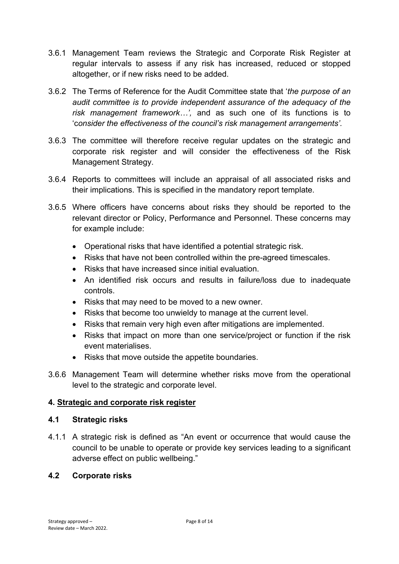- 3.6.1 Management Team reviews the Strategic and Corporate Risk Register at regular intervals to assess if any risk has increased, reduced or stopped altogether, or if new risks need to be added.
- 3.6.2 The Terms of Reference for the Audit Committee state that '*the purpose of an audit committee is to provide independent assurance of the adequacy of the risk management framework…',* and as such one of its functions is to 'c*onsider the effectiveness of the council's risk management arrangements'.*
- 3.6.3 The committee will therefore receive regular updates on the strategic and corporate risk register and will consider the effectiveness of the Risk Management Strategy.
- 3.6.4 Reports to committees will include an appraisal of all associated risks and their implications. This is specified in the mandatory report template.
- 3.6.5 Where officers have concerns about risks they should be reported to the relevant director or Policy, Performance and Personnel. These concerns may for example include:
	- Operational risks that have identified a potential strategic risk.
	- Risks that have not been controlled within the pre-agreed timescales.
	- Risks that have increased since initial evaluation.
	- An identified risk occurs and results in failure/loss due to inadequate controls.
	- Risks that may need to be moved to a new owner.
	- Risks that become too unwieldy to manage at the current level.
	- Risks that remain very high even after mitigations are implemented.
	- Risks that impact on more than one service/project or function if the risk event materialises.
	- Risks that move outside the appetite boundaries.
- 3.6.6 Management Team will determine whether risks move from the operational level to the strategic and corporate level.

## <span id="page-7-0"></span>**4. Strategic and corporate risk register**

## **4.1 Strategic risks**

4.1.1 A strategic risk is defined as "An event or occurrence that would cause the council to be unable to operate or provide key services leading to a significant adverse effect on public wellbeing."

## **4.2 Corporate risks**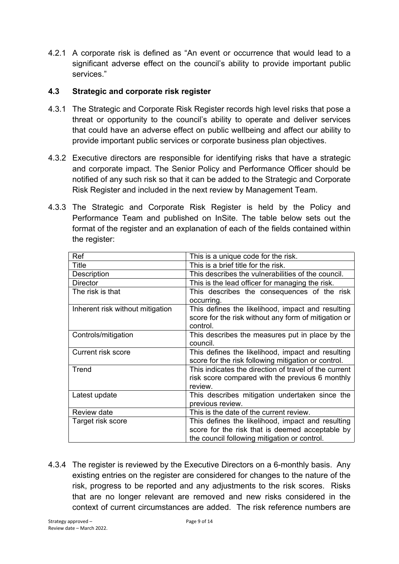4.2.1 A corporate risk is defined as "An event or occurrence that would lead to a significant adverse effect on the council's ability to provide important public services."

#### **4.3 Strategic and corporate risk register**

- 4.3.1 The Strategic and Corporate Risk Register records high level risks that pose a threat or opportunity to the council's ability to operate and deliver services that could have an adverse effect on public wellbeing and affect our ability to provide important public services or corporate business plan objectives.
- 4.3.2 Executive directors are responsible for identifying risks that have a strategic and corporate impact. The Senior Policy and Performance Officer should be notified of any such risk so that it can be added to the Strategic and Corporate Risk Register and included in the next review by Management Team.
- 4.3.3 The Strategic and Corporate Risk Register is held by the Policy and Performance Team and published on InSite. The table below sets out the format of the register and an explanation of each of the fields contained within the register:

| Ref                              | This is a unique code for the risk.                   |  |  |
|----------------------------------|-------------------------------------------------------|--|--|
| Title                            | This is a brief title for the risk.                   |  |  |
| Description                      | This describes the vulnerabilities of the council.    |  |  |
| <b>Director</b>                  | This is the lead officer for managing the risk.       |  |  |
| The risk is that                 | This describes the consequences of the risk           |  |  |
|                                  | occurring.                                            |  |  |
| Inherent risk without mitigation | This defines the likelihood, impact and resulting     |  |  |
|                                  | score for the risk without any form of mitigation or  |  |  |
|                                  | control.                                              |  |  |
| Controls/mitigation              | This describes the measures put in place by the       |  |  |
|                                  | council.                                              |  |  |
| <b>Current risk score</b>        | This defines the likelihood, impact and resulting     |  |  |
|                                  | score for the risk following mitigation or control.   |  |  |
| Trend                            | This indicates the direction of travel of the current |  |  |
|                                  | risk score compared with the previous 6 monthly       |  |  |
|                                  | review.                                               |  |  |
| Latest update                    | This describes mitigation undertaken since the        |  |  |
|                                  | previous review.                                      |  |  |
| Review date                      | This is the date of the current review.               |  |  |
| Target risk score                | This defines the likelihood, impact and resulting     |  |  |
|                                  | score for the risk that is deemed acceptable by       |  |  |
|                                  | the council following mitigation or control.          |  |  |
|                                  |                                                       |  |  |

4.3.4 The register is reviewed by the Executive Directors on a 6-monthly basis. Any existing entries on the register are considered for changes to the nature of the risk, progress to be reported and any adjustments to the risk scores. Risks that are no longer relevant are removed and new risks considered in the context of current circumstances are added. The risk reference numbers are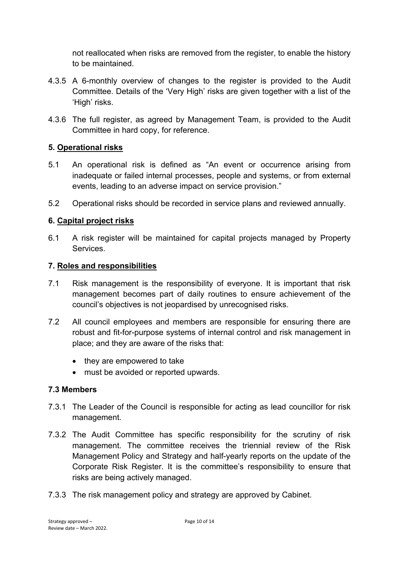not reallocated when risks are removed from the register, to enable the history to be maintained.

- 4.3.5 A 6-monthly overview of changes to the register is provided to the Audit Committee. Details of the 'Very High' risks are given together with a list of the 'High' risks.
- 4.3.6 The full register, as agreed by Management Team, is provided to the Audit Committee in hard copy, for reference.

# <span id="page-9-0"></span>**5. Operational risks**

- 5.1 An operational risk is defined as "An event or occurrence arising from inadequate or failed internal processes, people and systems, or from external events, leading to an adverse impact on service provision."
- 5.2 Operational risks should be recorded in service plans and reviewed annually.

# **6. Capital project risks**

6.1 A risk register will be maintained for capital projects managed by Property Services.

## <span id="page-9-1"></span>**7. Roles and responsibilities**

- 7.1 Risk management is the responsibility of everyone. It is important that risk management becomes part of daily routines to ensure achievement of the council's objectives is not jeopardised by unrecognised risks.
- 7.2 All council employees and members are responsible for ensuring there are robust and fit-for-purpose systems of internal control and risk management in place; and they are aware of the risks that:
	- they are empowered to take
	- must be avoided or reported upwards.

## <span id="page-9-2"></span>**7.3 Members**

- 7.3.1 The Leader of the Council is responsible for acting as lead councillor for risk management.
- 7.3.2 The Audit Committee has specific responsibility for the scrutiny of risk management. The committee receives the triennial review of the Risk Management Policy and Strategy and half-yearly reports on the update of the Corporate Risk Register. It is the committee's responsibility to ensure that risks are being actively managed.
- 7.3.3 The risk management policy and strategy are approved by Cabinet.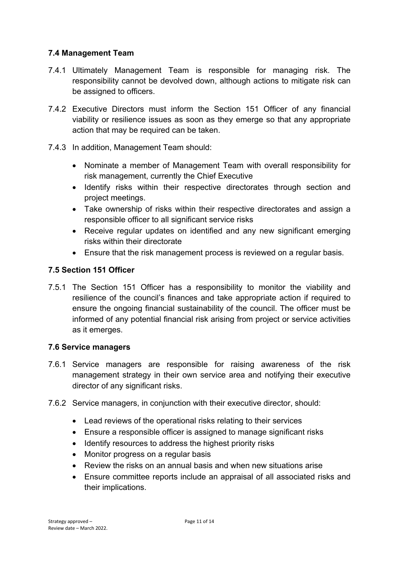## <span id="page-10-0"></span>**7.4 Management Team**

- 7.4.1 Ultimately Management Team is responsible for managing risk. The responsibility cannot be devolved down, although actions to mitigate risk can be assigned to officers.
- 7.4.2 Executive Directors must inform the Section 151 Officer of any financial viability or resilience issues as soon as they emerge so that any appropriate action that may be required can be taken.
- 7.4.3 In addition, Management Team should:
	- Nominate a member of Management Team with overall responsibility for risk management, currently the Chief Executive
	- Identify risks within their respective directorates through section and project meetings.
	- Take ownership of risks within their respective directorates and assign a responsible officer to all significant service risks
	- Receive regular updates on identified and any new significant emerging risks within their directorate
	- Ensure that the risk management process is reviewed on a regular basis.

# <span id="page-10-1"></span>**7.5 Section 151 Officer**

7.5.1 The Section 151 Officer has a responsibility to monitor the viability and resilience of the council's finances and take appropriate action if required to ensure the ongoing financial sustainability of the council. The officer must be informed of any potential financial risk arising from project or service activities as it emerges.

## <span id="page-10-2"></span>**7.6 Service managers**

- 7.6.1 Service managers are responsible for raising awareness of the risk management strategy in their own service area and notifying their executive director of any significant risks.
- 7.6.2 Service managers, in conjunction with their executive director, should:
	- Lead reviews of the operational risks relating to their services
	- Ensure a responsible officer is assigned to manage significant risks
	- Identify resources to address the highest priority risks
	- Monitor progress on a regular basis
	- Review the risks on an annual basis and when new situations arise
	- Ensure committee reports include an appraisal of all associated risks and their implications.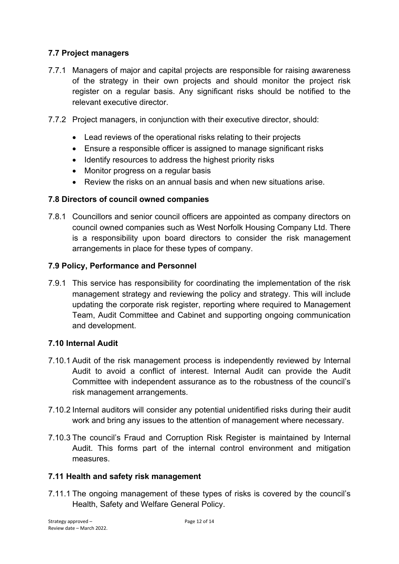# <span id="page-11-0"></span>**7.7 Project managers**

- 7.7.1 Managers of major and capital projects are responsible for raising awareness of the strategy in their own projects and should monitor the project risk register on a regular basis. Any significant risks should be notified to the relevant executive director.
- 7.7.2 Project managers, in conjunction with their executive director, should:
	- Lead reviews of the operational risks relating to their projects
	- Ensure a responsible officer is assigned to manage significant risks
	- Identify resources to address the highest priority risks
	- Monitor progress on a regular basis
	- Review the risks on an annual basis and when new situations arise.

#### <span id="page-11-1"></span>**7.8 Directors of council owned companies**

7.8.1 Councillors and senior council officers are appointed as company directors on council owned companies such as West Norfolk Housing Company Ltd. There is a responsibility upon board directors to consider the risk management arrangements in place for these types of company.

#### <span id="page-11-2"></span>**7.9 Policy, Performance and Personnel**

7.9.1 This service has responsibility for coordinating the implementation of the risk management strategy and reviewing the policy and strategy. This will include updating the corporate risk register, reporting where required to Management Team, Audit Committee and Cabinet and supporting ongoing communication and development.

#### <span id="page-11-3"></span>**7.10 Internal Audit**

- 7.10.1 Audit of the risk management process is independently reviewed by Internal Audit to avoid a conflict of interest. Internal Audit can provide the Audit Committee with independent assurance as to the robustness of the council's risk management arrangements.
- 7.10.2 Internal auditors will consider any potential unidentified risks during their audit work and bring any issues to the attention of management where necessary.
- 7.10.3 The council's Fraud and Corruption Risk Register is maintained by Internal Audit. This forms part of the internal control environment and mitigation measures.

#### <span id="page-11-4"></span>**7.11 Health and safety risk management**

7.11.1 The ongoing management of these types of risks is covered by the council's Health, Safety and Welfare General Policy.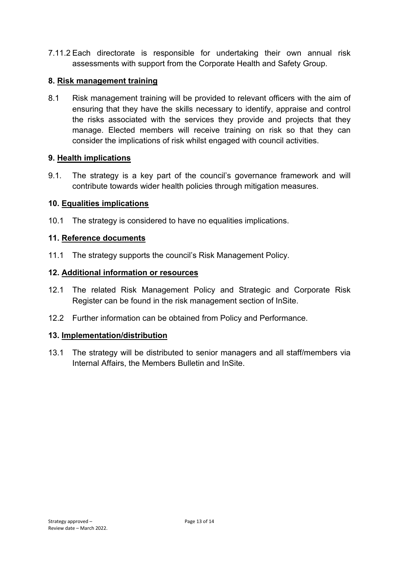7.11.2 Each directorate is responsible for undertaking their own annual risk assessments with support from the Corporate Health and Safety Group.

#### <span id="page-12-0"></span>**8. Risk management training**

8.1 Risk management training will be provided to relevant officers with the aim of ensuring that they have the skills necessary to identify, appraise and control the risks associated with the services they provide and projects that they manage. Elected members will receive training on risk so that they can consider the implications of risk whilst engaged with council activities.

## <span id="page-12-1"></span>**9. Health implications**

9.1. The strategy is a key part of the council's governance framework and will contribute towards wider health policies through mitigation measures.

#### <span id="page-12-2"></span>**10. Equalities implications**

10.1 The strategy is considered to have no equalities implications.

#### <span id="page-12-3"></span>**11. Reference documents**

11.1 The strategy supports the council's Risk Management Policy.

#### <span id="page-12-4"></span>**12. Additional information or resources**

- 12.1 The related Risk Management Policy and Strategic and Corporate Risk Register can be found in the risk management section of InSite.
- 12.2 Further information can be obtained from Policy and Performance.

#### <span id="page-12-5"></span>**13. Implementation/distribution**

13.1 The strategy will be distributed to senior managers and all staff/members via Internal Affairs, the Members Bulletin and InSite.